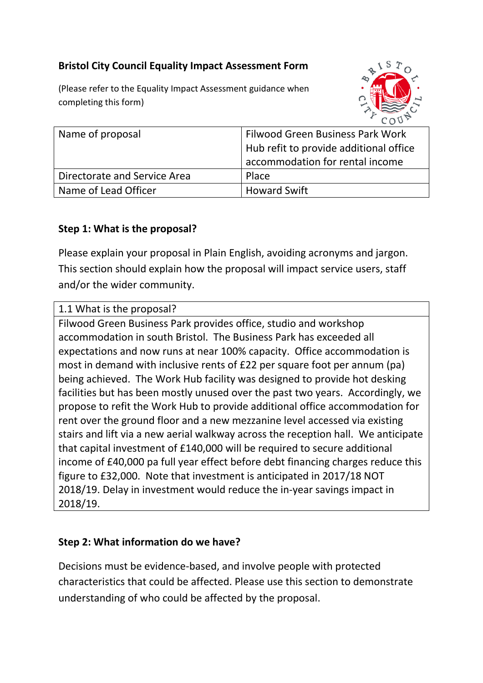## **Bristol City Council Equality Impact Assessment Form**

(Please refer to the Equality Impact Assessment guidance when completing this form)



| Name of proposal             | <b>Filwood Green Business Park Work</b><br>Hub refit to provide additional office<br>accommodation for rental income |
|------------------------------|----------------------------------------------------------------------------------------------------------------------|
| Directorate and Service Area | Place                                                                                                                |
| Name of Lead Officer         | <b>Howard Swift</b>                                                                                                  |

#### **Step 1: What is the proposal?**

Please explain your proposal in Plain English, avoiding acronyms and jargon. This section should explain how the proposal will impact service users, staff and/or the wider community.

1.1 What is the proposal?

Filwood Green Business Park provides office, studio and workshop accommodation in south Bristol. The Business Park has exceeded all expectations and now runs at near 100% capacity. Office accommodation is most in demand with inclusive rents of £22 per square foot per annum (pa) being achieved. The Work Hub facility was designed to provide hot desking facilities but has been mostly unused over the past two years. Accordingly, we propose to refit the Work Hub to provide additional office accommodation for rent over the ground floor and a new mezzanine level accessed via existing stairs and lift via a new aerial walkway across the reception hall. We anticipate that capital investment of £140,000 will be required to secure additional income of £40,000 pa full year effect before debt financing charges reduce this figure to £32,000. Note that investment is anticipated in 2017/18 NOT 2018/19. Delay in investment would reduce the in-year savings impact in 2018/19.

#### **Step 2: What information do we have?**

Decisions must be evidence-based, and involve people with protected characteristics that could be affected. Please use this section to demonstrate understanding of who could be affected by the proposal.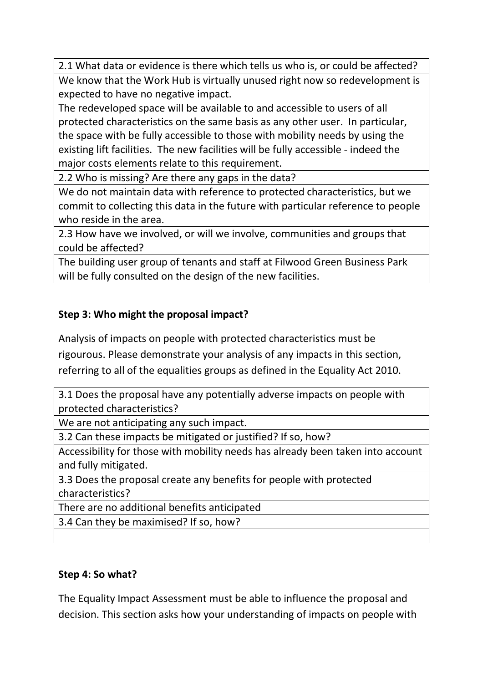2.1 What data or evidence is there which tells us who is, or could be affected? We know that the Work Hub is virtually unused right now so redevelopment is expected to have no negative impact.

The redeveloped space will be available to and accessible to users of all protected characteristics on the same basis as any other user. In particular, the space with be fully accessible to those with mobility needs by using the existing lift facilities. The new facilities will be fully accessible - indeed the major costs elements relate to this requirement.

2.2 Who is missing? Are there any gaps in the data?

We do not maintain data with reference to protected characteristics, but we commit to collecting this data in the future with particular reference to people who reside in the area.

2.3 How have we involved, or will we involve, communities and groups that could be affected?

The building user group of tenants and staff at Filwood Green Business Park will be fully consulted on the design of the new facilities.

# **Step 3: Who might the proposal impact?**

Analysis of impacts on people with protected characteristics must be

rigourous. Please demonstrate your analysis of any impacts in this section, referring to all of the equalities groups as defined in the Equality Act 2010.

3.1 Does the proposal have any potentially adverse impacts on people with protected characteristics?

We are not anticipating any such impact.

3.2 Can these impacts be mitigated or justified? If so, how?

Accessibility for those with mobility needs has already been taken into account and fully mitigated.

3.3 Does the proposal create any benefits for people with protected characteristics?

There are no additional benefits anticipated

3.4 Can they be maximised? If so, how?

### **Step 4: So what?**

The Equality Impact Assessment must be able to influence the proposal and decision. This section asks how your understanding of impacts on people with